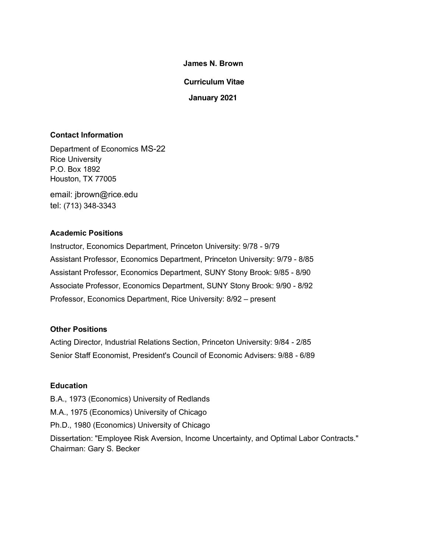**James N. Brown**

**Curriculum Vitae**

**January 2021**

# **Contact Information**

Department of Economics MS-22 Rice University P.O. Box 1892 Houston, TX 77005

email: jbrown@rice.edu tel: (713) 348-3343

# **Academic Positions**

Instructor, Economics Department, Princeton University: 9/78 - 9/79 Assistant Professor, Economics Department, Princeton University: 9/79 - 8/85 Assistant Professor, Economics Department, SUNY Stony Brook: 9/85 - 8/90 Associate Professor, Economics Department, SUNY Stony Brook: 9/90 - 8/92 Professor, Economics Department, Rice University: 8/92 – present

# **Other Positions**

Acting Director, Industrial Relations Section, Princeton University: 9/84 - 2/85 Senior Staff Economist, President's Council of Economic Advisers: 9/88 - 6/89

# **Education**

B.A., 1973 (Economics) University of Redlands

- M.A., 1975 (Economics) University of Chicago
- Ph.D., 1980 (Economics) University of Chicago

Dissertation: "Employee Risk Aversion, Income Uncertainty, and Optimal Labor Contracts." Chairman: Gary S. Becker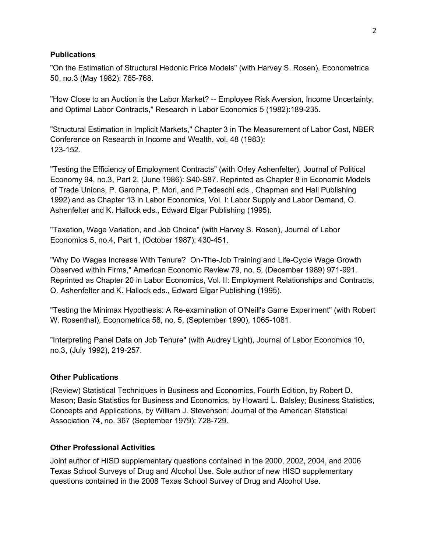#### **Publications**

"On the Estimation of Structural Hedonic Price Models" (with Harvey S. Rosen), Econometrica 50, no.3 (May 1982): 765-768.

"How Close to an Auction is the Labor Market? -- Employee Risk Aversion, Income Uncertainty, and Optimal Labor Contracts," Research in Labor Economics 5 (1982):189-235.

"Structural Estimation in Implicit Markets," Chapter 3 in The Measurement of Labor Cost, NBER Conference on Research in Income and Wealth, vol. 48 (1983): 123-152.

"Testing the Efficiency of Employment Contracts" (with Orley Ashenfelter), Journal of Political Economy 94, no.3, Part 2, (June 1986): S40-S87. Reprinted as Chapter 8 in Economic Models of Trade Unions, P. Garonna, P. Mori, and P.Tedeschi eds., Chapman and Hall Publishing 1992) and as Chapter 13 in Labor Economics, Vol. I: Labor Supply and Labor Demand, O. Ashenfelter and K. Hallock eds., Edward Elgar Publishing (1995).

"Taxation, Wage Variation, and Job Choice" (with Harvey S. Rosen), Journal of Labor Economics 5, no.4, Part 1, (October 1987): 430-451.

"Why Do Wages Increase With Tenure? On-The-Job Training and Life-Cycle Wage Growth Observed within Firms," American Economic Review 79, no. 5, (December 1989) 971-991. Reprinted as Chapter 20 in Labor Economics, Vol. II: Employment Relationships and Contracts, O. Ashenfelter and K. Hallock eds., Edward Elgar Publishing (1995).

"Testing the Minimax Hypothesis: A Re-examination of O'Neill's Game Experiment" (with Robert W. Rosenthal), Econometrica 58, no. 5, (September 1990), 1065-1081.

"Interpreting Panel Data on Job Tenure" (with Audrey Light), Journal of Labor Economics 10, no.3, (July 1992), 219-257.

## **Other Publications**

(Review) Statistical Techniques in Business and Economics, Fourth Edition, by Robert D. Mason; Basic Statistics for Business and Economics, by Howard L. Balsley; Business Statistics, Concepts and Applications, by William J. Stevenson; Journal of the American Statistical Association 74, no. 367 (September 1979): 728-729.

## **Other Professional Activities**

Joint author of HISD supplementary questions contained in the 2000, 2002, 2004, and 2006 Texas School Surveys of Drug and Alcohol Use. Sole author of new HISD supplementary questions contained in the 2008 Texas School Survey of Drug and Alcohol Use.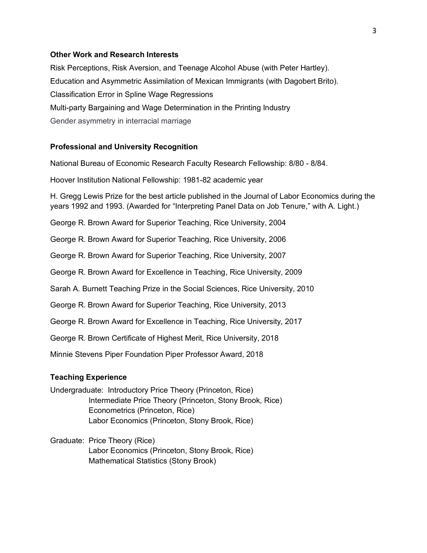#### **Other Work and Research Interests**

Risk Perceptions, Risk Aversion, and Teenage Alcohol Abuse (with Peter Hartley). Education and Asymmetric Assimilation of Mexican Immigrants (with Dagobert Brito). Classification Error in Spline Wage Regressions Multi-party Bargaining and Wage Determination in the Printing Industry Gender asymmetry in interracial marriage

#### **Professional and University Recognition**

National Bureau of Economic Research Faculty Research Fellowship: 8/80 - 8/84.

Hoover Institution National Fellowship: 1981-82 academic year

H. Gregg Lewis Prize for the best article published in the Journal of Labor Economics during the years 1992 and 1993. (Awarded for "Interpreting Panel Data on Job Tenure," with A. Light.)

George R. Brown Award for Superior Teaching, Rice University, 2004

George R. Brown Award for Superior Teaching, Rice University, 2006

George R. Brown Award for Superior Teaching, Rice University, 2007

George R. Brown Award for Excellence in Teaching, Rice University, 2009

Sarah A. Burnett Teaching Prize in the Social Sciences, Rice University, 2010

George R. Brown Award for Superior Teaching, Rice University, 2013

George R. Brown Award for Excellence in Teaching, Rice University, 2017

George R. Brown Certificate of Highest Merit, Rice University, 2018

Minnie Stevens Piper Foundation Piper Professor Award, 2018

## **Teaching Experience**

Undergraduate: Introductory Price Theory (Princeton, Rice) Intermediate Price Theory (Princeton, Stony Brook, Rice) Econometrics (Princeton, Rice) Labor Economics (Princeton, Stony Brook, Rice)

Graduate: Price Theory (Rice) Labor Economics (Princeton, Stony Brook, Rice) Mathematical Statistics (Stony Brook)